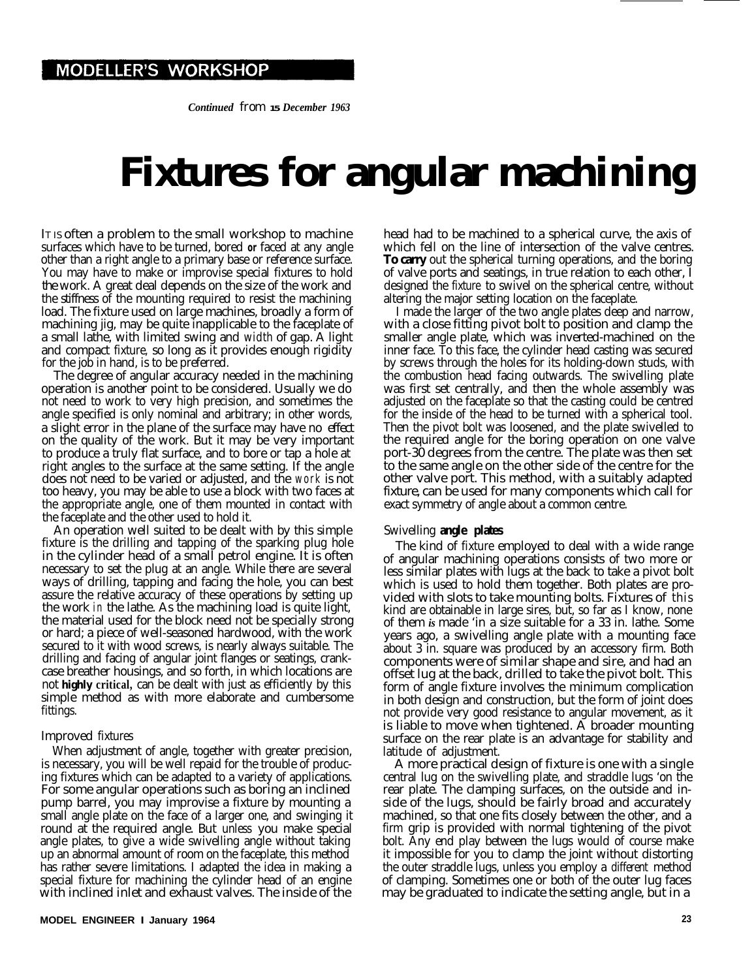*Continued from* **15** *December 1963*

# **Fixtures for angular machining**

IT IS often a problem to the small workshop to machine surfaces which have to be turned, bored **or** faced at any angle other than a right angle to a primary base or reference surface. You may have to make or improvise special fixtures to hold the work. A great deal depends on the size of the work and the stiffness of the mounting required to resist the machining load. The fixture used on large machines, broadly a form of machining jig, may be quite inapplicable to the faceplate of a small lathe, with limited swing and width of gap. A light and compact fixture, so long as it provides enough rigidity for the job in hand, is to be preferred.

The degree of angular accuracy needed in the machining operation is another point to be considered. Usually we do not need to work to very high precision, and sometimes the angle specified is only nominal and arbitrary; in other words, a slight error in the plane of the surface may have no effect on the quality of the work. But it may be very important to produce a truly flat surface, and to bore or tap a hole at right angles to the surface at the same setting. If the angle does not need to be varied or adjusted, and the work is not too heavy, you may be able to use a block with two faces at the appropriate angle, one of them mounted in contact with the faceplate and the other used to hold it.

An operation well suited to be dealt with by this simple fixture is the drilling and tapping of the sparking plug hole in the cylinder head of a small petrol engine. It is often necessary to set the plug at an angle. While there are several ways of drilling, tapping and facing the hole, you can best assure the relative accuracy of these operations by setting up the work in the lathe. As the machining load is quite light, the material used for the block need not be specially strong or hard; a piece of well-seasoned hardwood, with the work secured to it with wood screws, is nearly always suitable. The drilling and facing of angular joint flanges or seatings, crankcase breather housings, and so forth, in which locations are not **highly critical,** can be dealt with just as efficiently by this simple method as with more elaborate and cumbersome fittings.

## Improved fixtures

When adjustment of angle, together with greater precision, is necessary, you will be well repaid for the trouble of producing fixtures which can be adapted to a variety of applications. For some angular operations such as boring an inclined pump barrel, you may improvise a fixture by mounting a small angle plate on the face of a larger one, and swinging it round at the required angle. But unless you make special angle plates, to give a wide swivelling angle without taking up an abnormal amount of room on the faceplate, this method has rather severe limitations. I adapted the idea in making a special fixture for machining the cylinder head of an engine with inclined inlet and exhaust valves. The inside of the

head had to be machined to a spherical curve, the axis of which fell on the line of intersection of the valve centres. **To carry** out the spherical turning operations, and the boring of valve ports and seatings, in true relation to each other, I designed the fixture to swivel on the spherical centre, without altering the major setting location on the faceplate.

I made the larger of the two angle plates deep and narrow, with a close fitting pivot bolt to position and clamp the smaller angle plate, which was inverted-machined on the inner face. To this face, the cylinder head casting was secured by screws through the holes for its holding-down studs, with the combustion head facing outwards. The swivelling plate was first set centrally, and then the whole assembly was adjusted on the faceplate so that the casting could be centred for the inside of the head to be turned with a spherical tool. Then the pivot bolt was loosened, and the plate swivelled to the required angle for the boring operation on one valve port-30 degrees from the centre. The plate was then set to the same angle on the other side of the centre for the other valve port. This method, with a suitably adapted fixture, can be used for many components which call for exact symmetry of angle about a common centre.

### Swivelling **angle plates**

The kind of fixture employed to deal with a wide range of angular machining operations consists of two more or less similar plates with lugs at the back to take a pivot bolt which is used to hold them together. Both plates are provided with slots to take mounting bolts. Fixtures of this kind are obtainable in large sires, but, so far as I know, none of them *is* made 'in a size suitable for a 33 in. lathe. Some years ago, a swivelling angle plate with a mounting face about 3 in. square was produced by an accessory firm. Both components were of similar shape and sire, and had an offset lug at the back, drilled to take the pivot bolt. This form of angle fixture involves the minimum complication in both design and construction, but the form of joint does not provide very good resistance to angular movement, as it is liable to move when tightened. A broader mounting surface on the rear plate is an advantage for stability and latitude of adjustment.

A more practical design of fixture is one with a single central lug on the swivelling plate, and straddle lugs 'on the rear plate. The clamping surfaces, on the outside and inside of the lugs, should be fairly broad and accurately machined, so that one fits closely between the other, and a firm grip is provided with normal tightening of the pivot bolt. Any end play between the lugs would of course make it impossible for you to clamp the joint without distorting the outer straddle lugs, unless you employ a different method of clamping. Sometimes one or both of the outer lug faces may be graduated to indicate the setting angle, but in a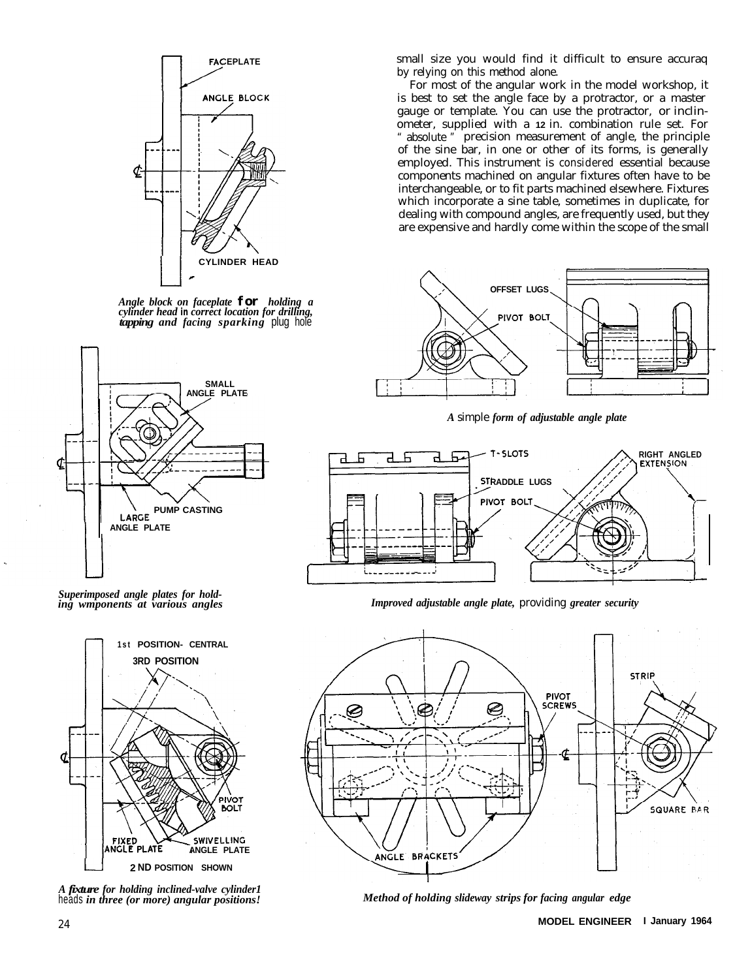

*Angle block on faceplate for holding a cylinder head* **in** *correct location for drilling, tapping and facing sparking* plug hole



*Superimposed angle plates for holding wmponents at various angles*



*A fixture for holding inclined-valve cylinder1* heads *in three (or more) angular positions!*

small size you would find it difficult to ensure accuraq by relying on this method alone.

For most of the angular work in the model workshop, it is best to set the angle face by a protractor, or a master gauge or template. You can use the protractor, or inclinometer, supplied with a **12** in. combination rule set. For absolute " precision measurement of angle, the principle of the sine bar, in one or other of its forms, is generally employed. This instrument is considered essential because components machined on angular fixtures often have to be interchangeable, or to fit parts machined elsewhere. Fixtures which incorporate a sine table, sometimes in duplicate, for dealing with compound angles, are frequently used, but they are expensive and hardly come within the scope of the small



*A* simple *form of adjustable angle plate*



*Improved adjustable angle plate,* providing *greater security*



*Method of holding slideway strips for facing angular edge*